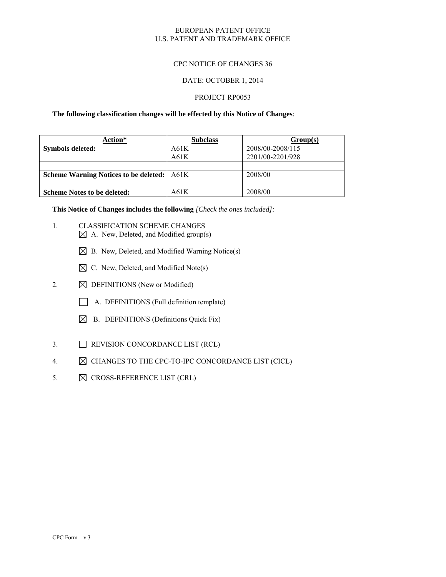#### EUROPEAN PATENT OFFICE U.S. PATENT AND TRADEMARK OFFICE

### CPC NOTICE OF CHANGES 36

#### DATE: OCTOBER 1, 2014

#### PROJECT RP0053

**The following classification changes will be effected by this Notice of Changes**:

| Action*                                           | <b>Subclass</b> | Group(s)         |
|---------------------------------------------------|-----------------|------------------|
| Symbols deleted:                                  | A61K            | 2008/00-2008/115 |
|                                                   | A61K            | 2201/00-2201/928 |
|                                                   |                 |                  |
| <b>Scheme Warning Notices to be deleted:</b> A61K |                 | 2008/00          |
|                                                   |                 |                  |
| <b>Scheme Notes to be deleted:</b>                | A61K            | 2008/00          |

**This Notice of Changes includes the following** *[Check the ones included]:*

- 1. CLASSIFICATION SCHEME CHANGES  $\boxtimes$  A. New, Deleted, and Modified group(s)
	- $\boxtimes$  B. New, Deleted, and Modified Warning Notice(s)
	- $\boxtimes$  C. New, Deleted, and Modified Note(s)
- 2.  $\boxtimes$  DEFINITIONS (New or Modified)
	- A. DEFINITIONS (Full definition template)
	- $\boxtimes$  B. DEFINITIONS (Definitions Quick Fix)
- 3. REVISION CONCORDANCE LIST (RCL)
- 4.  $\boxtimes$  CHANGES TO THE CPC-TO-IPC CONCORDANCE LIST (CICL)
- 5.  $\boxtimes$  CROSS-REFERENCE LIST (CRL)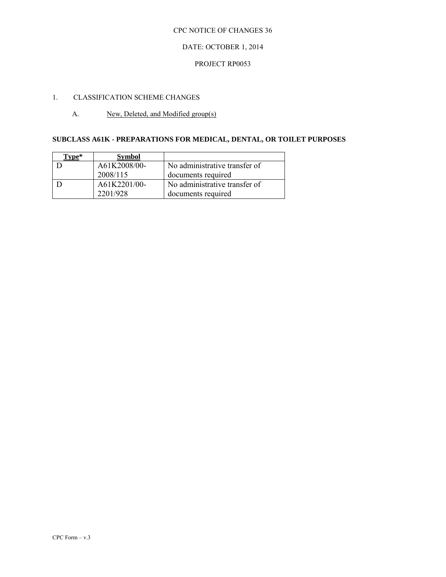## DATE: OCTOBER 1, 2014

### PROJECT RP0053

# 1. CLASSIFICATION SCHEME CHANGES

## A. New, Deleted, and Modified group(s)

# **SUBCLASS A61K - PREPARATIONS FOR MEDICAL, DENTAL, OR TOILET PURPOSES**

| Tvpe* | <b>Symbol</b> |                               |
|-------|---------------|-------------------------------|
|       | A61K2008/00-  | No administrative transfer of |
|       | 2008/115      | documents required            |
|       | A61K2201/00-  | No administrative transfer of |
|       | 2201/928      | documents required            |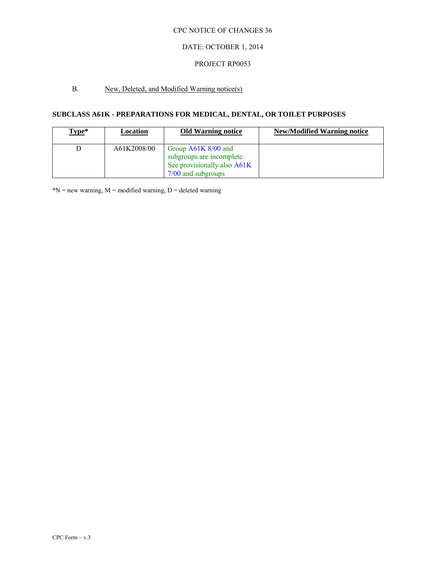## DATE: OCTOBER 1, 2014

### PROJECT RP0053

# B. New, Deleted, and Modified Warning notice(s)

# **SUBCLASS A61K - PREPARATIONS FOR MEDICAL, DENTAL, OR TOILET PURPOSES**

| Type* | Location    | <b>Old Warning notice</b>                                                                               | <b>New/Modified Warning notice</b> |
|-------|-------------|---------------------------------------------------------------------------------------------------------|------------------------------------|
|       | A61K2008/00 | Group $A61K$ 8/00 and<br>subgroups are incomplete.<br>See provisionally also A61K<br>7/00 and subgroups |                                    |

 $N = new warning, M = modified warning, D = deleted warning$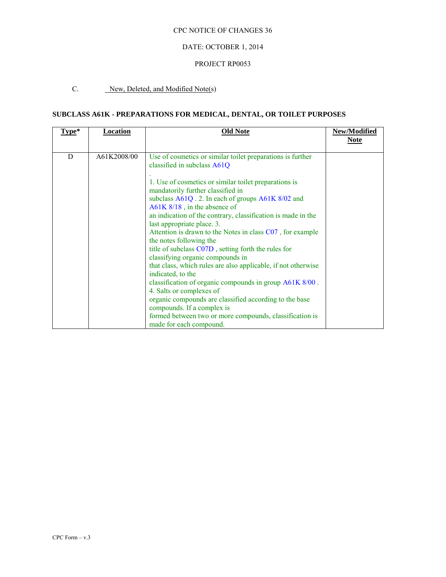## DATE: OCTOBER 1, 2014

## PROJECT RP0053

# C. New, Deleted, and Modified Note(s)

# **SUBCLASS A61K - PREPARATIONS FOR MEDICAL, DENTAL, OR TOILET PURPOSES**

| Type* | <b>Location</b> | Old Note                                                      | New/Modified |
|-------|-----------------|---------------------------------------------------------------|--------------|
|       |                 |                                                               | <b>Note</b>  |
|       |                 |                                                               |              |
| D     | A61K2008/00     | Use of cosmetics or similar toilet preparations is further    |              |
|       |                 | classified in subclass A61Q                                   |              |
|       |                 |                                                               |              |
|       |                 | 1. Use of cosmetics or similar toilet preparations is         |              |
|       |                 | mandatorily further classified in                             |              |
|       |                 | subclass A61Q . 2. In each of groups A61K 8/02 and            |              |
|       |                 | $A61K 8/18$ , in the absence of                               |              |
|       |                 | an indication of the contrary, classification is made in the  |              |
|       |                 | last appropriate place. 3.                                    |              |
|       |                 | Attention is drawn to the Notes in class C07, for example     |              |
|       |                 | the notes following the                                       |              |
|       |                 | title of subclass C07D, setting forth the rules for           |              |
|       |                 | classifying organic compounds in                              |              |
|       |                 | that class, which rules are also applicable, if not otherwise |              |
|       |                 | indicated, to the                                             |              |
|       |                 | classification of organic compounds in group A61K 8/00.       |              |
|       |                 | 4. Salts or complexes of                                      |              |
|       |                 | organic compounds are classified according to the base        |              |
|       |                 | compounds. If a complex is                                    |              |
|       |                 | formed between two or more compounds, classification is       |              |
|       |                 | made for each compound.                                       |              |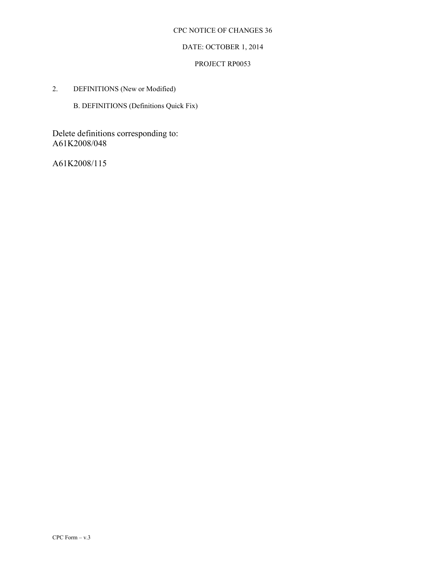# DATE: OCTOBER 1, 2014

## PROJECT RP0053

2. DEFINITIONS (New or Modified)

B. DEFINITIONS (Definitions Quick Fix)

Delete definitions corresponding to: A61K2008/048

A61K2008/115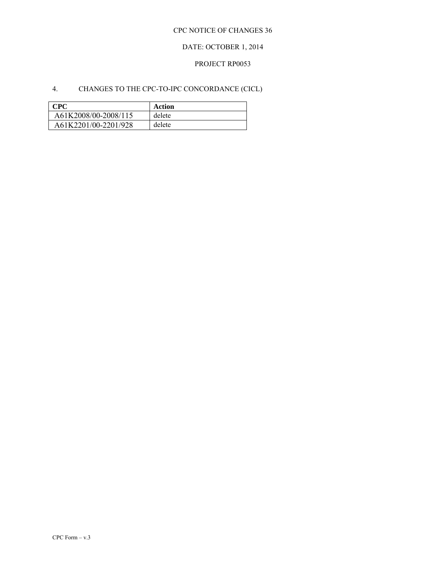# DATE: OCTOBER 1, 2014

## PROJECT RP0053

# 4. CHANGES TO THE CPC-TO-IPC CONCORDANCE (CICL)

| <b>CPC</b>           | Action |
|----------------------|--------|
| A61K2008/00-2008/115 | delete |
| A61K2201/00-2201/928 | delete |